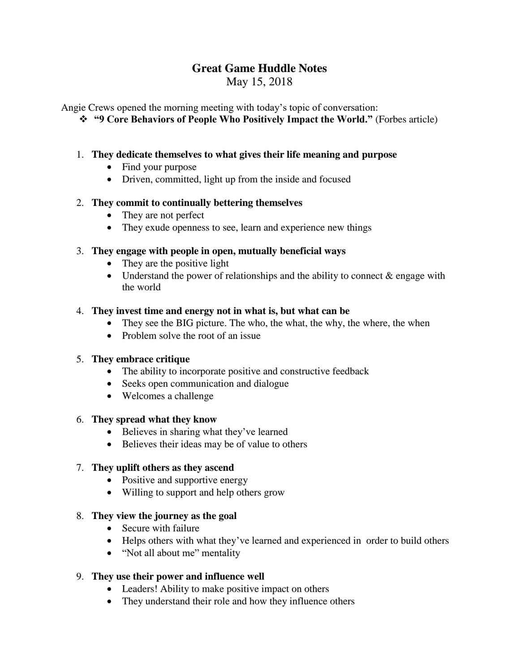# **Great Game Huddle Notes**

May 15, 2018

Angie Crews opened the morning meeting with today's topic of conversation:

**"9 Core Behaviors of People Who Positively Impact the World."** (Forbes article)

#### 1. **They dedicate themselves to what gives their life meaning and purpose**

- Find your purpose
- Driven, committed, light up from the inside and focused

#### 2. **They commit to continually bettering themselves**

- They are not perfect
- They exude openness to see, learn and experience new things

#### 3. **They engage with people in open, mutually beneficial ways**

- They are the positive light
- Understand the power of relationships and the ability to connect  $\&$  engage with the world

#### 4. **They invest time and energy not in what is, but what can be**

- They see the BIG picture. The who, the what, the why, the where, the when
- Problem solve the root of an issue

# 5. **They embrace critique**

- The ability to incorporate positive and constructive feedback
- Seeks open communication and dialogue
- Welcomes a challenge

#### 6. **They spread what they know**

- Believes in sharing what they've learned
- Believes their ideas may be of value to others

# 7. **They uplift others as they ascend**

- Positive and supportive energy
- Willing to support and help others grow

# 8. **They view the journey as the goal**

- Secure with failure
- Helps others with what they've learned and experienced in order to build others
- "Not all about me" mentality

# 9. **They use their power and influence well**

- Leaders! Ability to make positive impact on others
- They understand their role and how they influence others